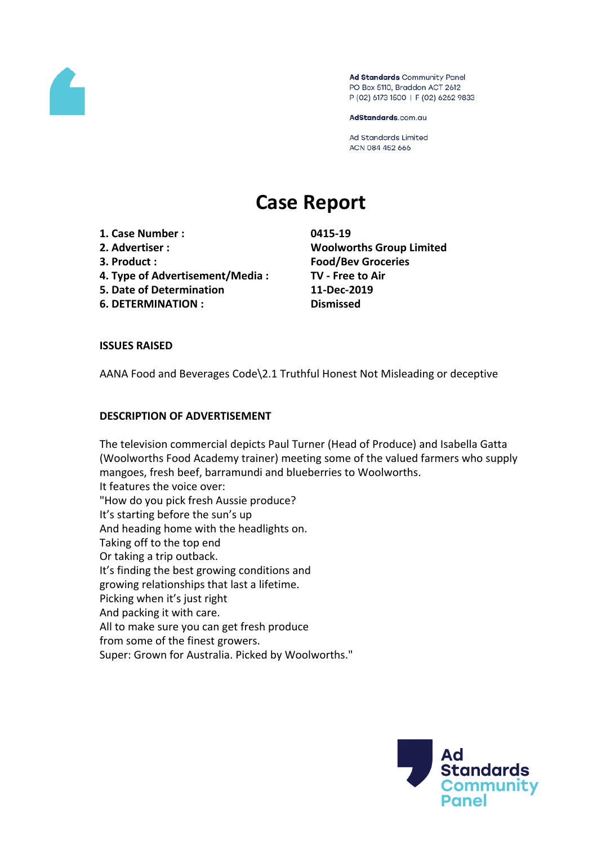

Ad Standards Community Panel PO Box 5110, Braddon ACT 2612 P (02) 6173 1500 | F (02) 6262 9833

AdStandards.com.au

Ad Standards Limited ACN 084 452 666

# **Case Report**

- **1. Case Number : 0415-19**
- 
- 
- **4. Type of Advertisement/Media : TV - Free to Air**
- **5. Date of Determination 11-Dec-2019**
- **6. DETERMINATION : Dismissed**

**2. Advertiser : Woolworths Group Limited 3. Product : Food/Bev Groceries**

## **ISSUES RAISED**

AANA Food and Beverages Code\2.1 Truthful Honest Not Misleading or deceptive

### **DESCRIPTION OF ADVERTISEMENT**

The television commercial depicts Paul Turner (Head of Produce) and Isabella Gatta (Woolworths Food Academy trainer) meeting some of the valued farmers who supply mangoes, fresh beef, barramundi and blueberries to Woolworths. It features the voice over: "How do you pick fresh Aussie produce? It's starting before the sun's up And heading home with the headlights on. Taking off to the top end Or taking a trip outback. It's finding the best growing conditions and growing relationships that last a lifetime. Picking when it's just right And packing it with care. All to make sure you can get fresh produce from some of the finest growers. Super: Grown for Australia. Picked by Woolworths."

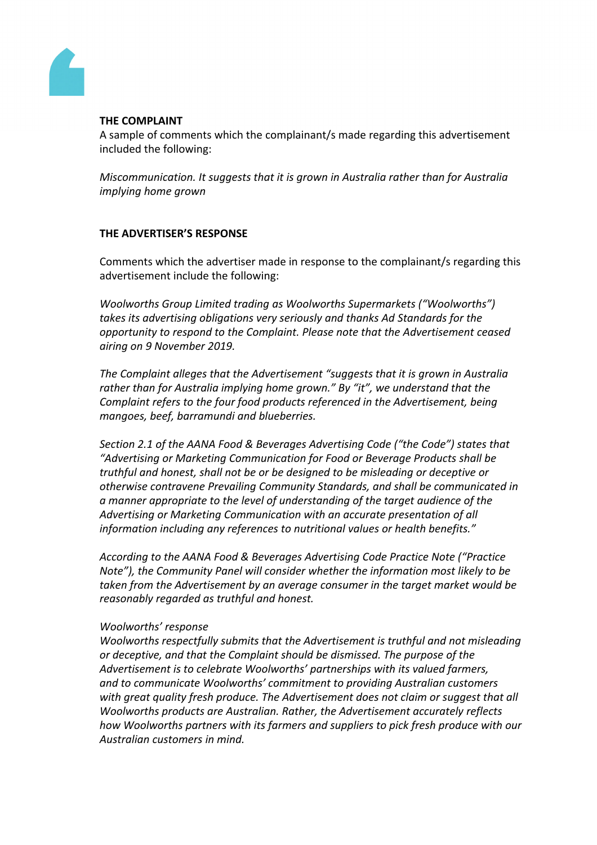

## **THE COMPLAINT**

A sample of comments which the complainant/s made regarding this advertisement included the following:

*Miscommunication. It suggests that it is grown in Australia rather than for Australia implying home grown*

# **THE ADVERTISER'S RESPONSE**

Comments which the advertiser made in response to the complainant/s regarding this advertisement include the following:

*Woolworths Group Limited trading as Woolworths Supermarkets ("Woolworths") takes its advertising obligations very seriously and thanks Ad Standards for the opportunity to respond to the Complaint. Please note that the Advertisement ceased airing on 9 November 2019.*

*The Complaint alleges that the Advertisement "suggests that it is grown in Australia rather than for Australia implying home grown." By "it", we understand that the Complaint refers to the four food products referenced in the Advertisement, being mangoes, beef, barramundi and blueberries.*

*Section 2.1 of the AANA Food & Beverages Advertising Code ("the Code") states that "Advertising or Marketing Communication for Food or Beverage Products shall be truthful and honest, shall not be or be designed to be misleading or deceptive or otherwise contravene Prevailing Community Standards, and shall be communicated in a manner appropriate to the level of understanding of the target audience of the Advertising or Marketing Communication with an accurate presentation of all information including any references to nutritional values or health benefits."*

*According to the AANA Food & Beverages Advertising Code Practice Note ("Practice Note"), the Community Panel will consider whether the information most likely to be taken from the Advertisement by an average consumer in the target market would be reasonably regarded as truthful and honest.*

## *Woolworths' response*

*Woolworths respectfully submits that the Advertisement is truthful and not misleading or deceptive, and that the Complaint should be dismissed. The purpose of the Advertisement is to celebrate Woolworths' partnerships with its valued farmers, and to communicate Woolworths' commitment to providing Australian customers with great quality fresh produce. The Advertisement does not claim or suggest that all Woolworths products are Australian. Rather, the Advertisement accurately reflects how Woolworths partners with its farmers and suppliers to pick fresh produce with our Australian customers in mind.*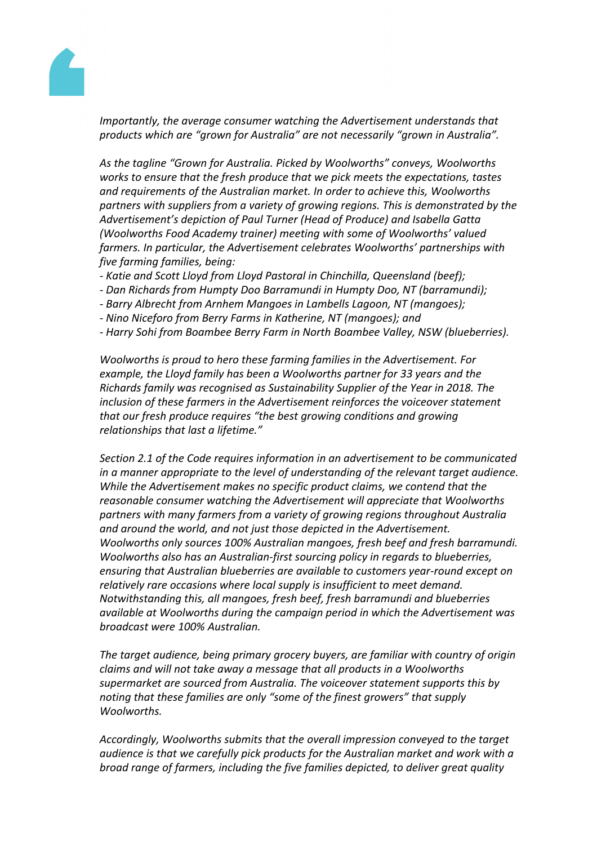

*Importantly, the average consumer watching the Advertisement understands that products which are "grown for Australia" are not necessarily "grown in Australia".*

*As the tagline "Grown for Australia. Picked by Woolworths" conveys, Woolworths works to ensure that the fresh produce that we pick meets the expectations, tastes and requirements of the Australian market. In order to achieve this, Woolworths partners with suppliers from a variety of growing regions. This is demonstrated by the Advertisement's depiction of Paul Turner (Head of Produce) and Isabella Gatta (Woolworths Food Academy trainer) meeting with some of Woolworths' valued farmers. In particular, the Advertisement celebrates Woolworths' partnerships with five farming families, being:*

- *- Katie and Scott Lloyd from Lloyd Pastoral in Chinchilla, Queensland (beef);*
- *- Dan Richards from Humpty Doo Barramundi in Humpty Doo, NT (barramundi);*
- *- Barry Albrecht from Arnhem Mangoes in Lambells Lagoon, NT (mangoes);*
- *- Nino Niceforo from Berry Farms in Katherine, NT (mangoes); and*
- *- Harry Sohi from Boambee Berry Farm in North Boambee Valley, NSW (blueberries).*

*Woolworths is proud to hero these farming families in the Advertisement. For example, the Lloyd family has been a Woolworths partner for 33 years and the Richards family was recognised as Sustainability Supplier of the Year in 2018. The inclusion of these farmers in the Advertisement reinforces the voiceover statement that our fresh produce requires "the best growing conditions and growing relationships that last a lifetime."*

*Section 2.1 of the Code requires information in an advertisement to be communicated in a manner appropriate to the level of understanding of the relevant target audience. While the Advertisement makes no specific product claims, we contend that the reasonable consumer watching the Advertisement will appreciate that Woolworths partners with many farmers from a variety of growing regions throughout Australia and around the world, and not just those depicted in the Advertisement. Woolworths only sources 100% Australian mangoes, fresh beef and fresh barramundi. Woolworths also has an Australian-first sourcing policy in regards to blueberries, ensuring that Australian blueberries are available to customers year-round except on relatively rare occasions where local supply is insufficient to meet demand. Notwithstanding this, all mangoes, fresh beef, fresh barramundi and blueberries available at Woolworths during the campaign period in which the Advertisement was broadcast were 100% Australian.*

*The target audience, being primary grocery buyers, are familiar with country of origin claims and will not take away a message that all products in a Woolworths supermarket are sourced from Australia. The voiceover statement supports this by noting that these families are only "some of the finest growers" that supply Woolworths.*

*Accordingly, Woolworths submits that the overall impression conveyed to the target audience is that we carefully pick products for the Australian market and work with a broad range of farmers, including the five families depicted, to deliver great quality*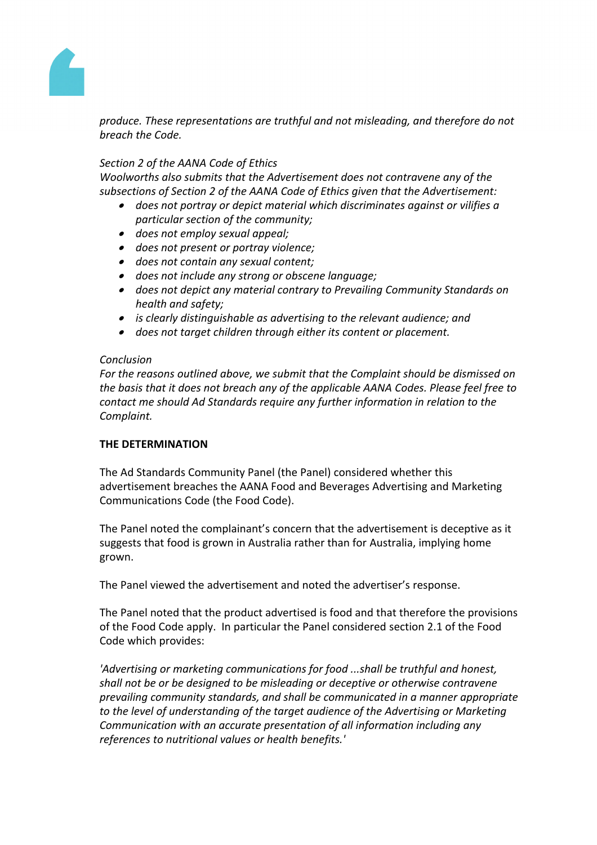

*produce. These representations are truthful and not misleading, and therefore do not breach the Code.*

## *Section 2 of the AANA Code of Ethics*

*Woolworths also submits that the Advertisement does not contravene any of the subsections of Section 2 of the AANA Code of Ethics given that the Advertisement:*

- *does not portray or depict material which discriminates against or vilifies a particular section of the community;*
- *does not employ sexual appeal;*
- *does not present or portray violence;*
- *does not contain any sexual content;*
- *does not include any strong or obscene language;*
- *does not depict any material contrary to Prevailing Community Standards on health and safety;*
- *is clearly distinguishable as advertising to the relevant audience; and*
- *does not target children through either its content or placement.*

### *Conclusion*

*For the reasons outlined above, we submit that the Complaint should be dismissed on the basis that it does not breach any of the applicable AANA Codes. Please feel free to contact me should Ad Standards require any further information in relation to the Complaint.*

## **THE DETERMINATION**

The Ad Standards Community Panel (the Panel) considered whether this advertisement breaches the AANA Food and Beverages Advertising and Marketing Communications Code (the Food Code).

The Panel noted the complainant's concern that the advertisement is deceptive as it suggests that food is grown in Australia rather than for Australia, implying home grown.

The Panel viewed the advertisement and noted the advertiser's response.

The Panel noted that the product advertised is food and that therefore the provisions of the Food Code apply. In particular the Panel considered section 2.1 of the Food Code which provides:

*'Advertising or marketing communications for food ...shall be truthful and honest, shall not be or be designed to be misleading or deceptive or otherwise contravene prevailing community standards, and shall be communicated in a manner appropriate to the level of understanding of the target audience of the Advertising or Marketing Communication with an accurate presentation of all information including any references to nutritional values or health benefits.'*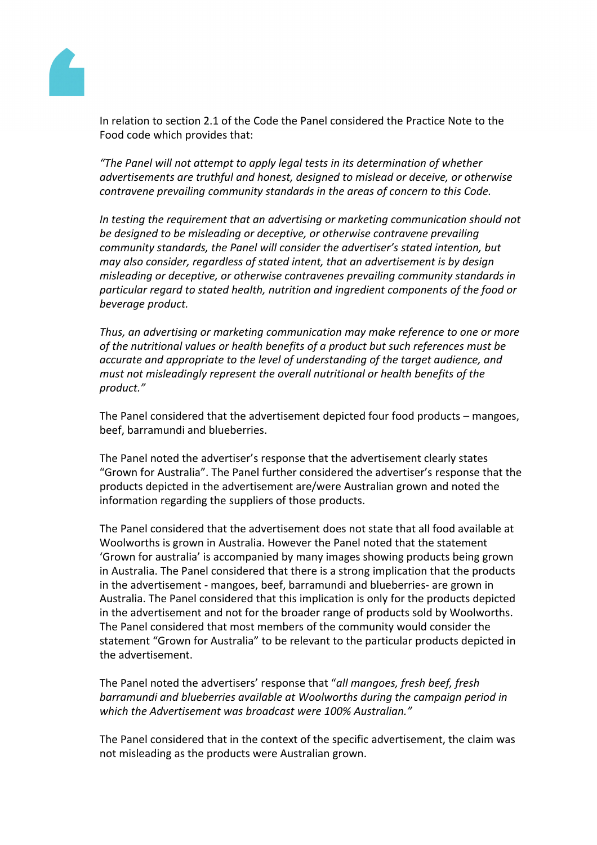

In relation to section 2.1 of the Code the Panel considered the Practice Note to the Food code which provides that:

*"The Panel will not attempt to apply legal tests in its determination of whether advertisements are truthful and honest, designed to mislead or deceive, or otherwise contravene prevailing community standards in the areas of concern to this Code.*

*In testing the requirement that an advertising or marketing communication should not be designed to be misleading or deceptive, or otherwise contravene prevailing community standards, the Panel will consider the advertiser's stated intention, but may also consider, regardless of stated intent, that an advertisement is by design misleading or deceptive, or otherwise contravenes prevailing community standards in particular regard to stated health, nutrition and ingredient components of the food or beverage product.*

*Thus, an advertising or marketing communication may make reference to one or more of the nutritional values or health benefits of a product but such references must be accurate and appropriate to the level of understanding of the target audience, and must not misleadingly represent the overall nutritional or health benefits of the product."*

The Panel considered that the advertisement depicted four food products – mangoes, beef, barramundi and blueberries.

The Panel noted the advertiser's response that the advertisement clearly states "Grown for Australia". The Panel further considered the advertiser's response that the products depicted in the advertisement are/were Australian grown and noted the information regarding the suppliers of those products.

The Panel considered that the advertisement does not state that all food available at Woolworths is grown in Australia. However the Panel noted that the statement 'Grown for australia' is accompanied by many images showing products being grown in Australia. The Panel considered that there is a strong implication that the products in the advertisement - mangoes, beef, barramundi and blueberries- are grown in Australia. The Panel considered that this implication is only for the products depicted in the advertisement and not for the broader range of products sold by Woolworths. The Panel considered that most members of the community would consider the statement "Grown for Australia" to be relevant to the particular products depicted in the advertisement.

The Panel noted the advertisers' response that "*all mangoes, fresh beef, fresh barramundi and blueberries available at Woolworths during the campaign period in which the Advertisement was broadcast were 100% Australian."*

The Panel considered that in the context of the specific advertisement, the claim was not misleading as the products were Australian grown.